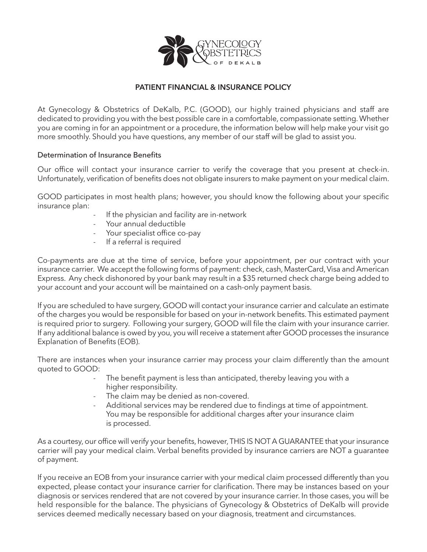

## **PATIENT FINANCIAL & INSURANCE POLICY**

At Gynecology & Obstetrics of DeKalb, P.C. (GOOD), our highly trained physicians and staff are dedicated to providing you with the best possible care in a comfortable, compassionate setting.Whether you are coming in for an appointment or a procedure, the information below will help make your visit go more smoothly. Should you have questions, any member of our staff will be glad to assist you.

## Determination of Insurance Benefits

Our office will contact your insurance carrier to verify the coverage that you present at check-in. Unfortunately, verification of benefits does not obligate insurers to make payment on your medical claim.

GOOD participates in most health plans; however, you should know the following about your specific insurance plan:

- If the physician and facility are in-network
- Your annual deductible
- Your specialist office co-pay
- If a referral is required

Co-payments are due at the time of service, before your appointment, per our contract with your insurance carrier. We accept the following forms of payment: check, cash, MasterCard, Visa and American Express. Any check dishonored by your bank may result in a \$35 returned check charge being added to your account and your account will be maintained on a cash-only payment basis.

If you are scheduled to have surgery, GOOD will contact your insurance carrier and calculate an estimate of the charges you would be responsible for based on your in-network benefits. This estimated payment is required prior to surgery. Following your surgery, GOOD will file the claim with your insurance carrier. If any additional balance is owed by you, you will receive a statement after GOOD processes the insurance Explanation of Benefits (EOB).

There are instances when your insurance carrier may process your claim differently than the amount quoted to GOOD:

- The benefit payment is less than anticipated, thereby leaving you with a higher responsibility.
- The claim may be denied as non-covered.
- Additional services may be rendered due to findings at time of appointment. You may be responsible for additional charges after your insurance claim is processed.

As a courtesy, our office will verify your benefits, however,THIS IS NOT A GUARANTEE that your insurance carrier will pay your medical claim. Verbal benefits provided by insurance carriers are NOT a guarantee of payment.

If you receive an EOB from your insurance carrier with your medical claim processed differently than you expected, please contact your insurance carrier for clarification. There may be instances based on your diagnosis or services rendered that are not covered by your insurance carrier. In those cases, you will be held responsible for the balance. The physicians of Gynecology & Obstetrics of DeKalb will provide services deemed medically necessary based on your diagnosis, treatment and circumstances.